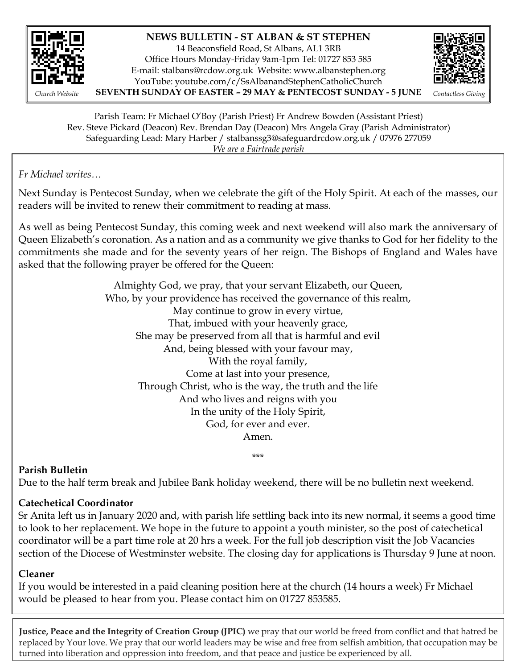

## **NEWS BULLETIN - ST ALBAN & ST STEPHEN**

14 Beaconsfield Road, St Albans, AL1 3RB Office Hours Monday-Friday 9am-1pm Tel: 01727 853 585 E-mail: [stalbans@rcdow.org.uk](mailto:stalbans@rcdow.org.uk) Website: www.albanstephen.org YouTube: youtube.com/c/SsAlbanandStephenCatholicChurch *Church Website* **SEVENTH SUNDAY OF EASTER – 29 MAY & PENTECOST SUNDAY - 5 JUNE** *Contactless Giving*



Parish Team: Fr Michael O'Boy (Parish Priest) Fr Andrew Bowden (Assistant Priest) Rev. Steve Pickard (Deacon) Rev. Brendan Day (Deacon) Mrs Angela Gray (Parish Administrator) Safeguarding Lead: Mary Harber / stalbanssg3@safeguardrcdow.org.uk / 07976 277059 *We are a Fairtrade parish*

 $S_{\rm G}$  and  $S_{\rm G}$  states  $\beta$  safeguardromagnatic org.uk  $\beta$ *Fr Michael writes…*

Next Sunday is Pentecost Sunday, when we celebrate the gift of the Holy Spirit. At each of the masses, our readers will be invited to renew their commitment to reading at mass.

As well as being Pentecost Sunday, this coming week and next weekend will also mark the anniversary of Queen Elizabeth's coronation. As a nation and as a community we give thanks to God for her fidelity to the commitments she made and for the seventy years of her reign. The Bishops of England and Wales have asked that the following prayer be offered for the Queen:

> Almighty God, we pray, that your servant Elizabeth, our Queen, Who, by your providence has received the governance of this realm, May continue to grow in every virtue, That, imbued with your heavenly grace, She may be preserved from all that is harmful and evil And, being blessed with your favour may, With the royal family, Come at last into your presence, Through Christ, who is the way, the truth and the life And who lives and reigns with you In the unity of the Holy Spirit, God, for ever and ever. Amen.

**Parish Bulletin** 

Due to the half term break and Jubilee Bank holiday weekend, there will be no bulletin next weekend.

\*\*\*

## **Catechetical Coordinator**

Sr Anita left us in January 2020 and, with parish life settling back into its new normal, it seems a good time to look to her replacement. We hope in the future to appoint a youth minister, so the post of catechetical coordinator will be a part time role at 20 hrs a week. For the full job description visit the Job Vacancies section of the Diocese of Westminster website. The closing day for applications is Thursday 9 June at noon.

## **Cleaner**

If you would be interested in a paid cleaning position here at the church (14 hours a week) Fr Michael would be pleased to hear from you. Please contact him on 01727 853585.

**Justice, Peace and the Integrity of Creation Group (JPIC)** we pray that our world be freed from conflict and that hatred be replaced by Your love. We pray that our world leaders may be wise and free from selfish ambition, that occupation may be turned into liberation and oppression into freedom, and that peace and justice be experienced by all.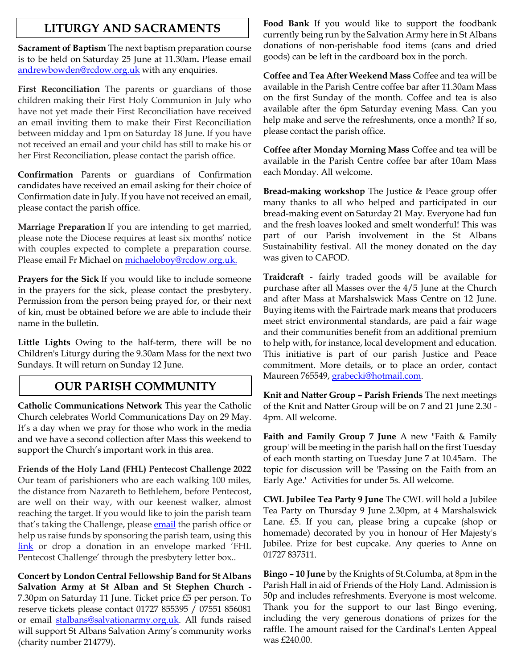## **LITURGY AND SACRAMENTS**

**Sacrament of Baptism** The next baptism preparation course is to be held on Saturday 25 June at 11.30am**.** Please email [andrewbowden@rcdow.org.uk](mailto:andrewbowden@rcdow.org.uk) with any enquiries.

**First Reconciliation** The parents or guardians of those children making their First Holy Communion in July who have not yet made their First Reconciliation have received an email inviting them to make their First Reconciliation between midday and 1pm on Saturday 18 June. If you have not received an email and your child has still to make his or her First Reconciliation, please contact the parish office.

**Confirmation** Parents or guardians of Confirmation candidates have received an email asking for their choice of Confirmation date in July. If you have not received an email, please contact the parish office.

**Marriage Preparation** If you are intending to get married, please note the Diocese requires at least six months' notice with couples expected to complete a preparation course. Please email Fr Michael on [michaeloboy@rcdow.org.uk.](mailto:michaeloboy@rcdow.org.uk)

**Prayers for the Sick** If you would like to include someone in the prayers for the sick, please contact the presbytery. Permission from the person being prayed for, or their next of kin, must be obtained before we are able to include their name in the bulletin.

**Little Lights** Owing to the half-term, there will be no Children's Liturgy during the 9.30am Mass for the next two Sundays. It will return on Sunday 12 June.

## **OUR PARISH COMMUNITY**

**Catholic Communications Network** This year the Catholic Church celebrates World Communications Day on 29 May. It's a day when we pray for those who work in the media and we have a second collection after Mass this weekend to support the Church's important work in this area.

**Friends of the Holy Land (FHL) Pentecost Challenge 2022** Our team of parishioners who are each walking 100 miles, the distance from Nazareth to Bethlehem, before Pentecost, are well on their way, with our keenest walker, almost reaching the target. If you would like to join the parish team that's taking the Challenge, please [email](mailto:stalbans@rcdow.org.uk) the parish office or help us raise funds by sponsoring the parish team, using this [link](https://fhl.enthuse.com/pf/st-alban-st-stephen-church-st-albans) or drop a donation in an envelope marked 'FHL Pentecost Challenge' through the presbytery letter box..

**Concert by London Central Fellowship Band for St Albans Salvation Army at St Alban and St Stephen Church -** 7.30pm on Saturday 11 June. Ticket price £5 per person. To reserve tickets please contact 01727 855395 / 07551 856081 or email [stalbans@salvationarmy.org.uk.](mailto:stalbans@salvationarmy.org.uk) All funds raised will support St Albans Salvation Army's community works (charity number 214779).

**Food Bank** If you would like to support the foodbank currently being run by the Salvation Army here in St Albans donations of non-perishable food items (cans and dried goods) can be left in the cardboard box in the porch.

**Coffee and Tea After Weekend Mass** Coffee and tea will be available in the Parish Centre coffee bar after 11.30am Mass on the first Sunday of the month. Coffee and tea is also available after the 6pm Saturday evening Mass. Can you help make and serve the refreshments, once a month? If so, please contact the parish office.

**Coffee after Monday Morning Mass** Coffee and tea will be available in the Parish Centre coffee bar after 10am Mass each Monday. All welcome.

**Bread-making workshop** The Justice & Peace group offer many thanks to all who helped and participated in our bread-making event on Saturday 21 May. Everyone had fun and the fresh loaves looked and smelt wonderful! This was part of our Parish involvement in the St Albans Sustainability festival. All the money donated on the day was given to CAFOD.

**Traidcraft** - fairly traded goods will be available for purchase after all Masses over the 4/5 June at the Church and after Mass at Marshalswick Mass Centre on 12 June. Buying items with the Fairtrade mark means that producers meet strict environmental standards, are paid a fair wage and their communities benefit from an additional premium to help with, for instance, local development and education. This initiative is part of our parish Justice and Peace commitment. More details, or to place an order, contact Maureen 765549, [grabecki@hotmail.com.](mailto:grabecki@hotmail.com)

**Knit and Natter Group – Parish Friends** The next meetings of the Knit and Natter Group will be on 7 and 21 June 2.30 - 4pm. All welcome.

**Faith and Family Group 7 June** A new "Faith & Family group' will be meeting in the parish hall on the first Tuesday of each month starting on Tuesday June 7 at 10.45am. The topic for discussion will be 'Passing on the Faith from an Early Age.' Activities for under 5s. All welcome.

**CWL Jubilee Tea Party 9 June** The CWL will hold a Jubilee Tea Party on Thursday 9 June 2.30pm, at 4 Marshalswick Lane. £5. If you can, please bring a cupcake (shop or homemade) decorated by you in honour of Her Majesty's Jubilee. Prize for best cupcake. Any queries to Anne on 01727 837511.

**Bingo – 10 June** by the Knights of St.Columba, at 8pm in the Parish Hall in aid of Friends of the Holy Land. Admission is 50p and includes refreshments. Everyone is most welcome. Thank you for the support to our last Bingo evening, including the very generous donations of prizes for the raffle. The amount raised for the Cardinal's Lenten Appeal was £240.00.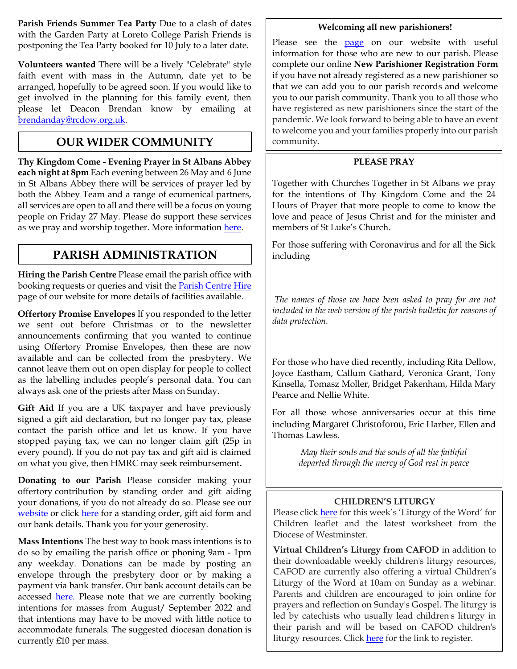**Parish Friends Summer Tea Party** Due to a clash of dates with the Garden Party at Loreto College Parish Friends is postponing the Tea Party booked for 10 July to a later date.

**Volunteers wanted** There will be a lively "Celebrate" style faith event with mass in the Autumn, date yet to be arranged, hopefully to be agreed soon. If you would like to get involved in the planning for this family event, then please let Deacon Brendan know by emailing at [brendanday@rcdow.org.uk.](mailto:brendanday@rcdow.org.uk) 

# **OUR WIDER COMMUNITY**

**Thy Kingdom Come - Evening Prayer in St Albans Abbey each night at 8pm** Each evening between 26 May and 6 June in St Albans Abbey there will be services of prayer led by both the Abbey Team and a range of ecumenical partners, all services are open to all and there will be a focus on young people on Friday 27 May. Please do support these services as we pray and worship together. More information [here.](http://www.ctherts.org.uk/events/thy-kingdom-come)

# **PARISH ADMINISTRATION**

**Hiring the Parish Centre** Please email the parish office with booking requests or queries and visit th[e Parish Centre](https://www.albanstephen.org/parish-centre-hire/) Hire page of our website for more details of facilities available.

**Offertory Promise Envelopes** If you responded to the letter we sent out before Christmas or to the newsletter announcements confirming that you wanted to continue using Offertory Promise Envelopes, then these are now available and can be collected from the presbytery. We cannot leave them out on open display for people to collect as the labelling includes people's personal data. You can always ask one of the priests after Mass on Sunday.

**Gift Aid** If you are a UK taxpayer and have previously signed a gift aid declaration, but no longer pay tax, please contact the parish office and let us know. If you have stopped paying tax, we can no longer claim gift (25p in every pound). If you do not pay tax and gift aid is claimed on what you give, then HMRC may seek reimbursement**.** 

**Donating to our Parish** Please consider making your offertory contribution by standing order and gift aiding your donations, if you do not already do so. Please see our [website](http://www.albanstephen.org/) or click [here](https://www.albanstephen.org/donating-to-the-parish/) for a standing order, gift aid form and our bank details. Thank you for your generosity.

**Mass Intentions** The best way to book mass intentions is to do so by emailing the parish office or phoning 9am - 1pm any weekday. Donations can be made by posting an envelope through the presbytery door or by making a payment via bank transfer. Our bank account details can be accessed [here.](https://www.albanstephen.org/donating-to-the-parish/) Please note that we are currently booking intentions for masses from August/ September 2022 and that intentions may have to be moved with little notice to accommodate funerals. The suggested diocesan donation is currently £10 per mass.

### **Welcoming all new parishioners!**

Please see the **[page](https://www.albanstephen.org/welcome-to-new-parishioners/)** on our website with useful information for those who are new to our parish. Please complete our online **New Parishioner Registration Form** if you have not already registered as a new parishioner so that we can add you to our parish records and welcome you to our parish community. Thank you to all those who have registered as new parishioners since the start of the pandemic. We look forward to being able to have an event to welcome you and your families properly into our parish community.

### **PLEASE PRAY**

Together with Churches Together in St Albans we pray for the intentions of Thy Kingdom Come and the 24 Hours of Prayer that more people to come to know the love and peace of Jesus Christ and for the minister and members of St Luke's Church.

For those suffering with Coronavirus and for all the Sick including

*The names of those we have been asked to pray for are not included in the web version of the parish bulletin for reasons of data protection.*

For those who have died recently, including Rita Dellow, Joyce Eastham, Callum Gathard, Veronica Grant, Tony Kinsella, Tomasz Moller, Bridget Pakenham, Hilda Mary Pearce and Nellie White.

For all those whose anniversaries occur at this time including Margaret Christoforou, Eric Harber, Ellen and Thomas Lawless.

> *May their souls and the souls of all the faithful departed through the mercy of God rest in peace*

## **CHILDREN'S LITURGY**

Please click [here](https://www.albanstephen.org/groups/liturgy-group/) for this week's 'Liturgy of the Word' for Children leaflet and the latest worksheet from the Diocese of Westminster.

**Virtual Children's Liturgy from CAFOD** in addition to their downloadable weekly children's liturgy resources, CAFOD are currently also offering a virtual Children's Liturgy of the Word at 10am on Sunday as a webinar. Parents and children are encouraged to join online for prayers and reflection on Sunday's Gospel. The liturgy is led by catechists who usually lead children's liturgy in their parish and will be based on CAFOD children's liturgy resources. Click [here](https://attendee.gotowebinar.com/register/5095942131288155403) for the link to register.